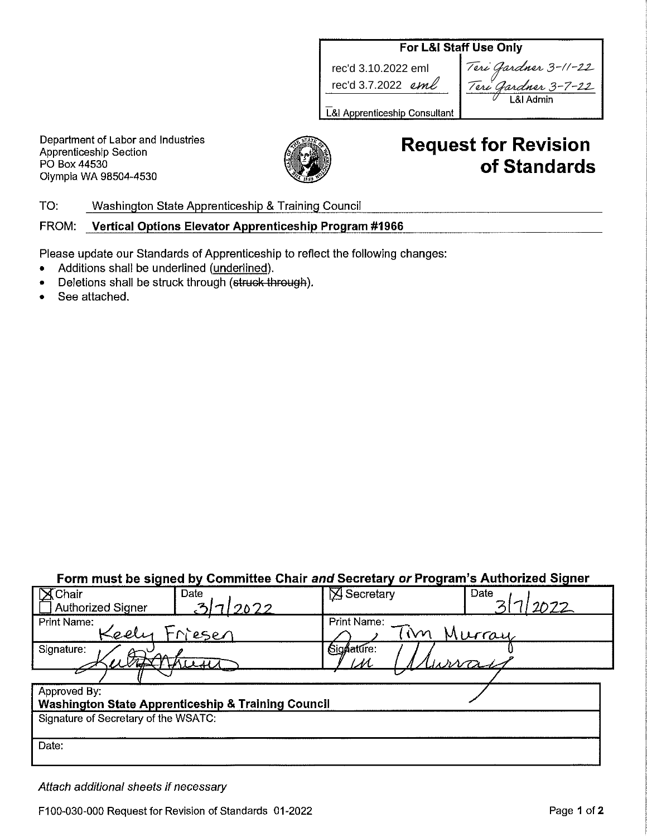## For L&I Staff Use Only

rec'd 3.10.2022 eml rec'd 3.7.2022 eml

| Teri Gardner 3-11-22 |
|----------------------|
| Teri Gardner 3-7-22  |
| $-81$ Admin          |
|                      |

L&I Apprenticeship Consultant |

Department of Labor and Industries Apprenticeship Section PO Box 44530 Olympia WA 98504-4530



# **Request for Revision** of Standards

TO: Washington State Apprenticeship & Training Council

FROM: Vertical Options Elevator Apprenticeship Program #1966

Please update our Standards of Apprenticeship to reflect the following changes:

- Additions shall be underlined (underlined).
- Deletions shall be struck through (struck through).
- See attached.  $\bullet$

# Form must be signed by Committee Chair and Secretary or Program's Authorized Signer

| $\mathsf{X}$ Chair<br>Date                                    | $\boxtimes$ Secretary | Date   |  |  |
|---------------------------------------------------------------|-----------------------|--------|--|--|
| <u>31712022</u><br>Authorized Signer                          |                       | 2022   |  |  |
| Print Name:                                                   | Print Name:           |        |  |  |
| Keely<br>Friesen                                              | lΜ                    | Murray |  |  |
| Signature:                                                    | Signature:            |        |  |  |
|                                                               | $\cal M$              |        |  |  |
|                                                               |                       |        |  |  |
| Approved By:                                                  |                       |        |  |  |
| <b>Washington State Apprenticeship &amp; Training Council</b> |                       |        |  |  |
| Signature of Secretary of the WSATC:                          |                       |        |  |  |
|                                                               |                       |        |  |  |
| Date:                                                         |                       |        |  |  |
|                                                               |                       |        |  |  |
|                                                               |                       |        |  |  |

Attach additional sheets if necessary